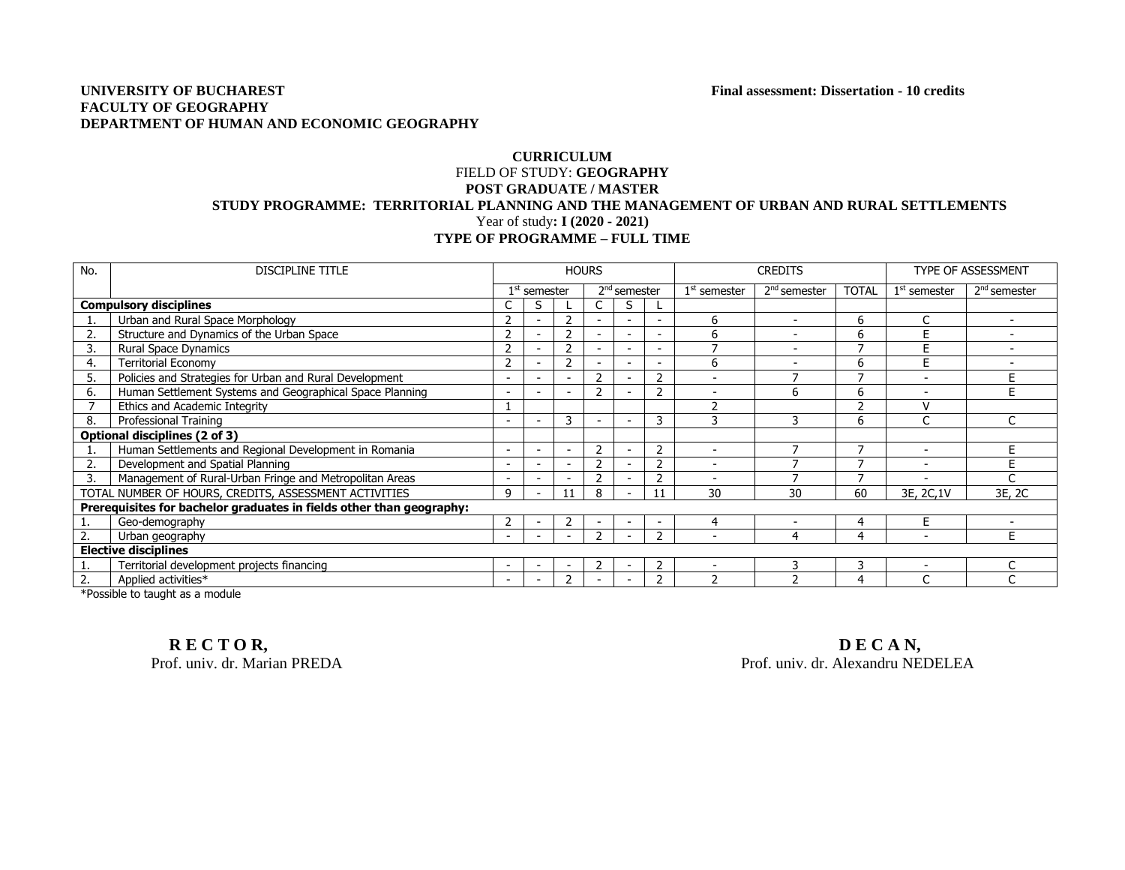## **UNIVERSITY OF BUCHAREST Final assessment: Dissertation - 10 credits FACULTY OF GEOGRAPHY DEPARTMENT OF HUMAN AND ECONOMIC GEOGRAPHY**

## **CURRICULUM** FIELD OF STUDY: **GEOGRAPHY POST GRADUATE / MASTER STUDY PROGRAMME: TERRITORIAL PLANNING AND THE MANAGEMENT OF URBAN AND RURAL SETTLEMENTS** Year of study**: I (2020 - 2021) TYPE OF PROGRAMME – FULL TIME**

| No.                                                                  | <b>DISCIPLINE TITLE</b>                                                                                                                                                                                                                                    | <b>HOURS</b>   |                          |    |                |                          |                |                | <b>CREDITS</b>           | TYPE OF ASSESSMENT |                          |                          |
|----------------------------------------------------------------------|------------------------------------------------------------------------------------------------------------------------------------------------------------------------------------------------------------------------------------------------------------|----------------|--------------------------|----|----------------|--------------------------|----------------|----------------|--------------------------|--------------------|--------------------------|--------------------------|
|                                                                      |                                                                                                                                                                                                                                                            | $1st$ semester |                          |    | $2nd$ semester |                          |                | $1st$ semester | 2 <sup>nd</sup> semester | <b>TOTAL</b>       | $1st$ semester           | $2nd$ semester           |
| <b>Compulsory disciplines</b>                                        |                                                                                                                                                                                                                                                            |                | S                        |    |                | S                        |                |                |                          |                    |                          |                          |
|                                                                      | Urban and Rural Space Morphology                                                                                                                                                                                                                           |                | $\overline{\phantom{a}}$ |    |                | $\overline{\phantom{a}}$ | ۰              | 6              |                          | 6                  |                          |                          |
| 2.                                                                   | Structure and Dynamics of the Urban Space                                                                                                                                                                                                                  | 2              | $\overline{\phantom{a}}$ |    |                | $\overline{\phantom{a}}$ | ٠              | 6              | $\overline{\phantom{a}}$ | 6                  | Е                        |                          |
| 3.                                                                   | Rural Space Dynamics                                                                                                                                                                                                                                       | 2              | $\overline{\phantom{a}}$ |    |                | $\sim$                   |                |                |                          |                    | E                        |                          |
| 4.                                                                   | Territorial Economy                                                                                                                                                                                                                                        |                |                          |    |                |                          |                | 6              |                          | 6                  | E                        |                          |
| 5.                                                                   | Policies and Strategies for Urban and Rural Development                                                                                                                                                                                                    |                | $\overline{\phantom{a}}$ |    |                | $\overline{\phantom{a}}$ | $\mathcal{P}$  | $\overline{a}$ |                          |                    | $\overline{\phantom{a}}$ |                          |
| 6.                                                                   | Human Settlement Systems and Geographical Space Planning                                                                                                                                                                                                   |                | $\overline{\phantom{a}}$ |    |                |                          | ີ              |                | 6                        | 6                  |                          | Е                        |
|                                                                      | Ethics and Academic Integrity                                                                                                                                                                                                                              |                |                          |    |                |                          |                |                |                          | h                  | $\mathcal{U}$            |                          |
| 8.                                                                   | Professional Training                                                                                                                                                                                                                                      |                | $\overline{\phantom{0}}$ | 3  |                | <b>.</b>                 | 3              |                | ٦                        | 6                  | $\sqrt{2}$               |                          |
| Optional disciplines (2 of 3)                                        |                                                                                                                                                                                                                                                            |                |                          |    |                |                          |                |                |                          |                    |                          |                          |
|                                                                      | Human Settlements and Regional Development in Romania                                                                                                                                                                                                      |                | $\overline{\phantom{a}}$ |    | 2              | ۰                        | $\overline{2}$ |                |                          |                    | $\overline{\phantom{a}}$ | F.                       |
| 2.                                                                   | Development and Spatial Planning                                                                                                                                                                                                                           |                | $\overline{\phantom{0}}$ |    |                | $\overline{\phantom{a}}$ | 2              |                |                          |                    |                          |                          |
| 3.                                                                   | Management of Rural-Urban Fringe and Metropolitan Areas                                                                                                                                                                                                    |                | <b>.</b>                 |    |                | ۰                        | $\overline{2}$ |                |                          |                    |                          | $\overline{ }$           |
|                                                                      | TOTAL NUMBER OF HOURS, CREDITS, ASSESSMENT ACTIVITIES                                                                                                                                                                                                      | 9              | $\overline{\phantom{a}}$ | 11 | я              |                          | 11             | 30             | 30                       | 60                 | 3E, 2C, 1V               | 3E, 2C                   |
| Prerequisites for bachelor graduates in fields other than geography: |                                                                                                                                                                                                                                                            |                |                          |    |                |                          |                |                |                          |                    |                          |                          |
|                                                                      | Geo-demography                                                                                                                                                                                                                                             |                | $\overline{\phantom{a}}$ |    |                | $\overline{\phantom{a}}$ |                |                |                          |                    | F                        |                          |
| 2.                                                                   | Urban geography                                                                                                                                                                                                                                            |                | $\overline{\phantom{a}}$ |    |                | $\overline{\phantom{a}}$ | $\overline{z}$ | $\overline{a}$ | Δ                        | 4                  | $\overline{\phantom{a}}$ | F                        |
| <b>Elective disciplines</b>                                          |                                                                                                                                                                                                                                                            |                |                          |    |                |                          |                |                |                          |                    |                          |                          |
|                                                                      | Territorial development projects financing                                                                                                                                                                                                                 |                | $\overline{\phantom{a}}$ |    |                | $\overline{\phantom{a}}$ |                |                |                          | 3                  |                          | $\overline{\phantom{0}}$ |
| 2.                                                                   | Applied activities*<br>the contract of the contract of the contract of the contract of the contract of the contract of the contract of the contract of the contract of the contract of the contract of the contract of the contract of the contract o<br>. |                | $\overline{\phantom{a}}$ |    |                |                          | ר              |                |                          |                    |                          | $\sim$                   |

\*Possible to taught as a module

**RECTOR, DECAN,** 

Prof. univ. dr. Marian PREDA Prof. univ. dr. Alexandru NEDELEA